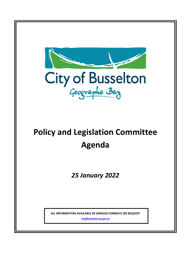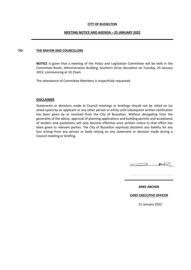## **CITY OF BUSSELTON**

### **MEETING NOTICE AND AGENDA – 25 JANUARY 2022**

### **TO: THE MAYOR AND COUNCILLORS**

**NOTICE** is given that a meeting of the Policy and Legislation Committee will be held in the Committee Room, Administration Building, Southern Drive, Busselton on Tuesday, 25 January 2022, commencing at 10.15am.

The attendance of Committee Members is respectfully requested.

#### **DISCLAIMER**

Statements or decisions made at Council meetings or briefings should not be relied on (or acted upon) by an applicant or any other person or entity until subsequent written notification has been given by or received from the City of Busselton. Without derogating from the generality of the above, approval of planning applications and building permits and acceptance of tenders and quotations will only become effective once written notice to that effect has been given to relevant parties. The City of Busselton expressly disclaims any liability for any loss arising from any person or body relying on any statement or decision made during a Council meeting or briefing.



**MIKE ARCHER**

### **CHIEF EXECUTIVE OFFICER**

21 January 2022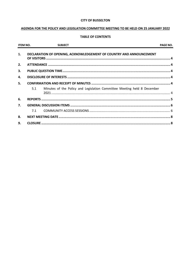## **CITY OF BUSSELTON**

## AGENDA FOR THE POLICY AND LEGISLATION COMMITTEE MEETING TO BE HELD ON 25 JANUARY 2022

## **TABLE OF CONTENTS**

| <b>ITEM NO.</b> |     | <b>SUBJECT</b>                                                          | <b>PAGE NO.</b> |
|-----------------|-----|-------------------------------------------------------------------------|-----------------|
| 1.              |     | DECLARATION OF OPENING, ACKNOWLEDGEMENT OF COUNTRY AND ANNOUNCEMENT     |                 |
| 2.              |     |                                                                         |                 |
| 3.              |     |                                                                         |                 |
| 4.              |     |                                                                         |                 |
| 5.              |     |                                                                         |                 |
|                 | 5.1 | Minutes of the Policy and Legislation Committee Meeting held 8 December |                 |
| 6.              |     |                                                                         |                 |
| 7.              |     |                                                                         |                 |
|                 | 7.1 |                                                                         |                 |
| 8.              |     |                                                                         |                 |
| 9.              |     |                                                                         |                 |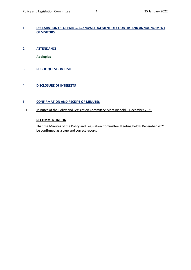## <span id="page-3-0"></span>**1. DECLARATION OF OPENING, ACKNOWLEDGEMENT OF COUNTRY AND ANNOUNCEMENT OF VISITORS**

<span id="page-3-1"></span>**2. ATTENDANCE** 

**Apologies**

- <span id="page-3-2"></span>**3. PUBLIC QUESTION TIME**
- <span id="page-3-3"></span>**4. DISCLOSURE OF INTERESTS**

## <span id="page-3-4"></span>**5. CONFIRMATION AND RECEIPT OF MINUTES**

<span id="page-3-5"></span>5.1 Minutes of the Policy and Legislation Committee Meeting held 8 December 2021

## **RECOMMENDATION**

That the Minutes of the Policy and Legislation Committee Meeting held 8 December 2021 be confirmed as a true and correct record.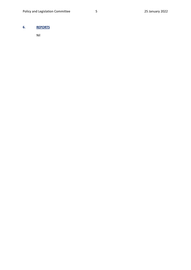# <span id="page-4-0"></span>**6. REPORTS**

Nil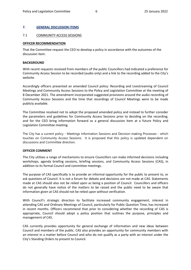## <span id="page-5-0"></span>**7. GENERAL DISCUSSION ITEMS**

### <span id="page-5-1"></span>7.1 COMMUNITY ACCESS SESSIONS

#### **OFFICER RECOMMENDATION**

That the Committee request the CEO to develop a policy in accordance with the outcomes of the discussion item.

#### **BACKGROUND**

With recent requests received from members of the public Councillors had indicated a preference for Community Access Session to be recorded (audio only) and a link to the recording added to the City's website.

Accordingly officers presented an amended Council policy: Recording and Livestreaming of Council Meetings and Community Access Sessions to the Policy and Legislation Committee at the meeting of 8 December 2021. The amendment incorporated suggested provisions around the audio recording of Community Access Sessions and the time that recordings of Council Meetings were to be made publicly available.

The Committee resolved not to adopt the proposed amended policy and instead to further consider the parameters and guidelines for Community Access Sessions prior to deciding on the recording; and for the CEO bring information forward as a general discussion item at a future Policy and Legislation Committee meeting.

The City has a current policy - Meetings Information Sessions and Decision-making Processes - which touches on Community Access Sessions. It is proposed that this policy is updated dependent on discussions and Committee direction.

### **OFFICER COMMENT**

The City utilises a range of mechanisms to ensure Councillors can make informed decisions including workshops, agenda briefing sessions, briefing sessions, and Community Access Sessions (CAS), in addition to its formal Council and committee meetings.

The purpose of CAS specifically is to provide an informal opportunity for the public to present to, or ask questions of Council. It is not a forum for debate and decisions are not made at CAS. Statements made at CAS should also not be relied upon as being a position of Council. Councillors and officers do not generally have notice of the matters to be raised and the public need to be aware that information given at CAS should not be relied upon without verification.

With Council's strategic direction to facilitate increased community engagement, interest in attending CAS and Ordinary Meetings of Council, particularly for Public Question Time, has increased in recent months. Officers recommend that prior to considering whether the recording of CAS is appropriate, Council should adopt a policy position that outlines the purpose, principles and management of CAS.

CAS currently provides opportunity for general exchange of information and new ideas between Council and members of the public. CAS also provides an opportunity for community members with an interest in a matter before Council and who do not qualify as a party with an interest under the City's Standing Orders to present to Council.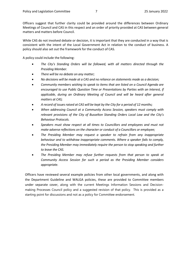Officers suggest that further clarity could be provided around the differences between Ordinary Meetings of Council and CAS in this respect and an order of priority provided at CAS between general matters and matters before Council.

While CAS do not involved debate or decision, it is important that they are conducted in a way that is consistent with the intent of the Local Government Act in relation to the conduct of business. A policy should also set out the framework for the conduct of CAS.

A policy could include the following:

- *The City's Standing Orders will be followed, with all matters directed through the Presiding Member.*
- *There will be no debate on any matter;*
- *No decisions will be made at a CAS and no reliance on statements made as a decision;*
- *Community members wishing to speak to items that are listed on a Council Agenda are encouraged to use Public Question Time or Presentations by Parties with an Interest, if applicable, during an Ordinary Meeting of Council and will be heard after general matters at CAS;*
- *A record of issues raised at CAS will be kept by the City for a period of 12 months;*
- *When addressing Council at a Community Access Session, speakers must comply with relevant provisions of the City of Busselton Standing Orders Local Law and the City's Behaviour Protocols.*
- *Speakers must show respect at all times to Councillors and employees and must not make adverse reflections on the character or conduct of a Councillors or employee;*
- *The Presiding Member may request a speaker to refrain from any inappropriate behaviour and to withdraw inappropriate comments. Where a speaker fails to comply, the Presiding Member may immediately require the person to stop speaking and further to leave the CAS.*
- *The Presiding Member may refuse further requests from that person to speak at Community Access Session for such a period as the Presiding Member considers appropriate.*

Officers have reviewed several example policies from other local governments, and along with the Department Guideline and WALGA policies, these are provided to Committee members under separate cover, along with the current Meetings Information Sessions and Decisionmaking Processes Council policy and a suggested revision of that policy. This is provided as a starting point for discussions and not as a policy for Committee endorsement.